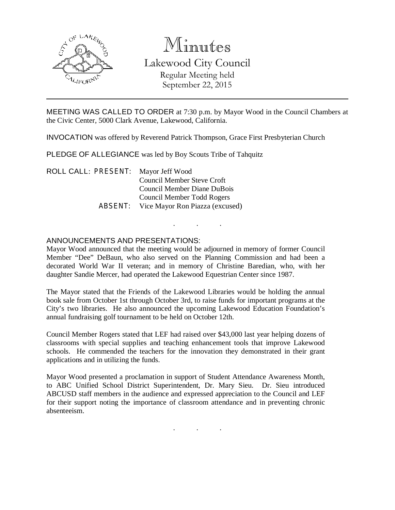

# Minutes Lakewood City Council Regular Meeting held

September 22, 2015

MEETING WAS CALLED TO ORDER at 7:30 p.m. by Mayor Wood in the Council Chambers at the Civic Center, 5000 Clark Avenue, Lakewood, California.

INVOCATION was offered by Reverend Patrick Thompson, Grace First Presbyterian Church

PLEDGE OF ALLEGIANCE was led by Boy Scouts Tribe of Tahquitz

ROLL CALL: PRESENT: Mayor Jeff Wood Council Member Steve Croft Council Member Diane DuBois Council Member Todd Rogers ABSENT: Vice Mayor Ron Piazza (excused)

# ANNOUNCEMENTS AND PRESENTATIONS:

Mayor Wood announced that the meeting would be adjourned in memory of former Council Member "Dee" DeBaun, who also served on the Planning Commission and had been a decorated World War II veteran; and in memory of Christine Baredian, who, with her daughter Sandie Mercer, had operated the Lakewood Equestrian Center since 1987.

. . .

The Mayor stated that the Friends of the Lakewood Libraries would be holding the annual book sale from October 1st through October 3rd, to raise funds for important programs at the City's two libraries. He also announced the upcoming Lakewood Education Foundation's annual fundraising golf tournament to be held on October 12th.

Council Member Rogers stated that LEF had raised over \$43,000 last year helping dozens of classrooms with special supplies and teaching enhancement tools that improve Lakewood schools. He commended the teachers for the innovation they demonstrated in their grant applications and in utilizing the funds.

Mayor Wood presented a proclamation in support of Student Attendance Awareness Month, to ABC Unified School District Superintendent, Dr. Mary Sieu. Dr. Sieu introduced ABCUSD staff members in the audience and expressed appreciation to the Council and LEF for their support noting the importance of classroom attendance and in preventing chronic absenteeism.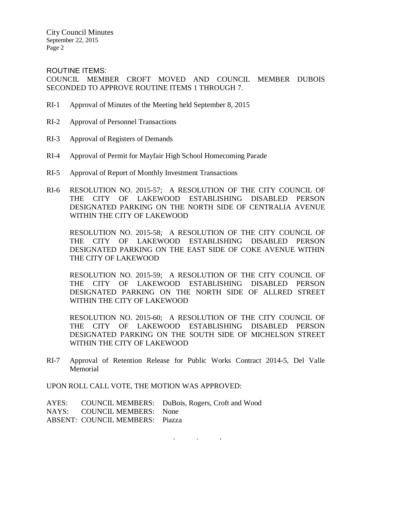City Council Minutes September 22, 2015 Page 2

ROUTINE ITEMS:

COUNCIL MEMBER CROFT MOVED AND COUNCIL MEMBER DUBOIS SECONDED TO APPROVE ROUTINE ITEMS 1 THROUGH 7.

- RI-1 Approval of Minutes of the Meeting held September 8, 2015
- RI-2 Approval of Personnel Transactions
- RI-3 Approval of Registers of Demands
- RI-4 Approval of Permit for Mayfair High School Homecoming Parade
- RI-5 Approval of Report of Monthly Investment Transactions
- RI-6 RESOLUTION NO. 2015-57; A RESOLUTION OF THE CITY COUNCIL OF THE CITY OF LAKEWOOD ESTABLISHING DISABLED PERSON DESIGNATED PARKING ON THE NORTH SIDE OF CENTRALIA AVENUE WITHIN THE CITY OF LAKEWOOD

RESOLUTION NO. 2015-58; A RESOLUTION OF THE CITY COUNCIL OF THE CITY OF LAKEWOOD ESTABLISHING DISABLED PERSON DESIGNATED PARKING ON THE EAST SIDE OF COKE AVENUE WITHIN THE CITY OF LAKEWOOD

RESOLUTION NO. 2015-59; A RESOLUTION OF THE CITY COUNCIL OF THE CITY OF LAKEWOOD ESTABLISHING DISABLED PERSON DESIGNATED PARKING ON THE NORTH SIDE OF ALLRED STREET WITHIN THE CITY OF LAKEWOOD

RESOLUTION NO. 2015-60; A RESOLUTION OF THE CITY COUNCIL OF THE CITY OF LAKEWOOD ESTABLISHING DISABLED PERSON DESIGNATED PARKING ON THE SOUTH SIDE OF MICHELSON STREET WITHIN THE CITY OF LAKEWOOD

RI-7 Approval of Retention Release for Public Works Contract 2014-5, Del Valle Memorial

UPON ROLL CALL VOTE, THE MOTION WAS APPROVED:

AYES: COUNCIL MEMBERS: DuBois, Rogers, Croft and Wood NAYS: COUNCIL MEMBERS: None ABSENT: COUNCIL MEMBERS: Piazza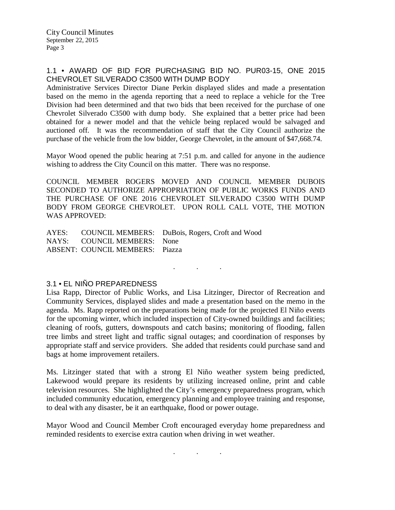## 1.1 • AWARD OF BID FOR PURCHASING BID NO. PUR03-15, ONE 2015 CHEVROLET SILVERADO C3500 WITH DUMP BODY

Administrative Services Director Diane Perkin displayed slides and made a presentation based on the memo in the agenda reporting that a need to replace a vehicle for the Tree Division had been determined and that two bids that been received for the purchase of one Chevrolet Silverado C3500 with dump body. She explained that a better price had been obtained for a newer model and that the vehicle being replaced would be salvaged and auctioned off. It was the recommendation of staff that the City Council authorize the purchase of the vehicle from the low bidder, George Chevrolet, in the amount of \$47,668.74.

Mayor Wood opened the public hearing at 7:51 p.m. and called for anyone in the audience wishing to address the City Council on this matter. There was no response.

COUNCIL MEMBER ROGERS MOVED AND COUNCIL MEMBER DUBOIS SECONDED TO AUTHORIZE APPROPRIATION OF PUBLIC WORKS FUNDS AND THE PURCHASE OF ONE 2016 CHEVROLET SILVERADO C3500 WITH DUMP BODY FROM GEORGE CHEVROLET. UPON ROLL CALL VOTE, THE MOTION WAS APPROVED:

AYES: COUNCIL MEMBERS: DuBois, Rogers, Croft and Wood NAYS: COUNCIL MEMBERS: None ABSENT: COUNCIL MEMBERS: Piazza

#### . . .

### 3.1 • EL NIÑO PREPAREDNESS

Lisa Rapp, Director of Public Works, and Lisa Litzinger, Director of Recreation and Community Services, displayed slides and made a presentation based on the memo in the agenda. Ms. Rapp reported on the preparations being made for the projected El Niño events for the upcoming winter, which included inspection of City-owned buildings and facilities; cleaning of roofs, gutters, downspouts and catch basins; monitoring of flooding, fallen tree limbs and street light and traffic signal outages; and coordination of responses by appropriate staff and service providers. She added that residents could purchase sand and bags at home improvement retailers.

Ms. Litzinger stated that with a strong El Niño weather system being predicted, Lakewood would prepare its residents by utilizing increased online, print and cable television resources. She highlighted the City's emergency preparedness program, which included community education, emergency planning and employee training and response, to deal with any disaster, be it an earthquake, flood or power outage.

Mayor Wood and Council Member Croft encouraged everyday home preparedness and reminded residents to exercise extra caution when driving in wet weather.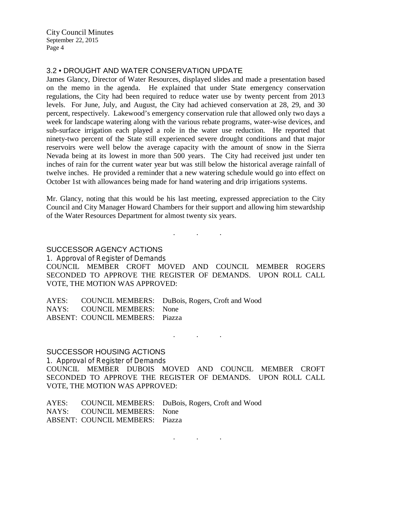City Council Minutes September 22, 2015 Page 4

## 3.2 • DROUGHT AND WATER CONSERVATION UPDATE

James Glancy, Director of Water Resources, displayed slides and made a presentation based on the memo in the agenda. He explained that under State emergency conservation regulations, the City had been required to reduce water use by twenty percent from 2013 levels. For June, July, and August, the City had achieved conservation at 28, 29, and 30 percent, respectively. Lakewood's emergency conservation rule that allowed only two days a week for landscape watering along with the various rebate programs, water-wise devices, and sub-surface irrigation each played a role in the water use reduction. He reported that ninety-two percent of the State still experienced severe drought conditions and that major reservoirs were well below the average capacity with the amount of snow in the Sierra Nevada being at its lowest in more than 500 years. The City had received just under ten inches of rain for the current water year but was still below the historical average rainfall of twelve inches. He provided a reminder that a new watering schedule would go into effect on October 1st with allowances being made for hand watering and drip irrigations systems.

Mr. Glancy, noting that this would be his last meeting, expressed appreciation to the City Council and City Manager Howard Chambers for their support and allowing him stewardship of the Water Resources Department for almost twenty six years.

. . .

## SUCCESSOR AGENCY ACTIONS

1. Approval of Register of Demands

COUNCIL MEMBER CROFT MOVED AND COUNCIL MEMBER ROGERS SECONDED TO APPROVE THE REGISTER OF DEMANDS. UPON ROLL CALL VOTE, THE MOTION WAS APPROVED:

AYES: COUNCIL MEMBERS: DuBois, Rogers, Croft and Wood NAYS: COUNCIL MEMBERS: None ABSENT: COUNCIL MEMBERS: Piazza

### SUCCESSOR HOUSING ACTIONS

1. Approval of Register of Demands COUNCIL MEMBER DUBOIS MOVED AND COUNCIL MEMBER CROFT SECONDED TO APPROVE THE REGISTER OF DEMANDS. UPON ROLL CALL VOTE, THE MOTION WAS APPROVED:

. . .

AYES: COUNCIL MEMBERS: DuBois, Rogers, Croft and Wood NAYS: COUNCIL MEMBERS: None ABSENT: COUNCIL MEMBERS: Piazza